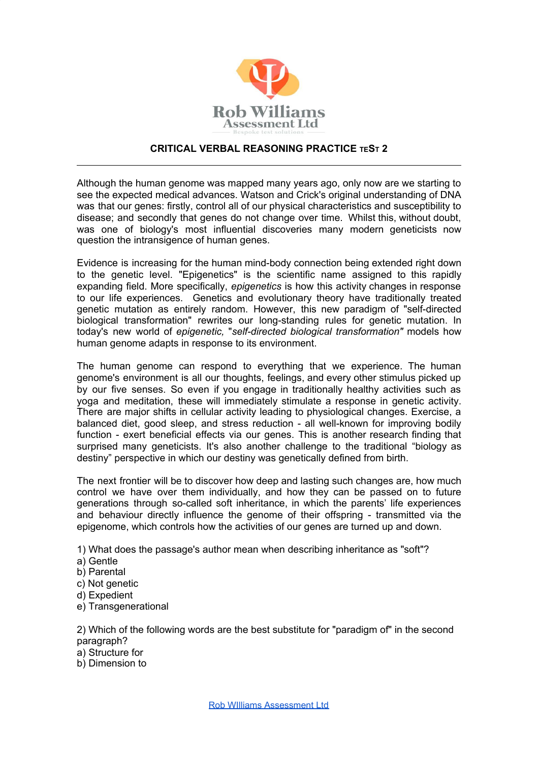

### **CRITICAL VERBAL REASONING PRACTICE TES<sup>T</sup> 2**

Although the human genome was mapped many years ago, only now are we starting to see the expected medical advances. Watson and Crick's original understanding of DNA was that our genes: firstly, control all of our physical characteristics and susceptibility to disease; and secondly that genes do not change over time. Whilst this, without doubt, was one of biology's most influential discoveries many modern geneticists now question the intransigence of human genes.

Evidence is increasing for the human mind-body connection being extended right down to the genetic level. "Epigenetics" is the scientific name assigned to this rapidly expanding field. More specifically, *epigenetics* is how this activity changes in response to our life experiences. Genetics and evolutionary theory have traditionally treated genetic mutation as entirely random. However, this new paradigm of "self-directed biological transformation" rewrites our long-standing rules for genetic mutation. In today's new world of *epigenetic,* "*self-directed biological transformation"* models how human genome adapts in response to its environment.

The human genome can respond to everything that we experience. The human genome's environment is all our thoughts, feelings, and every other stimulus picked up by our five senses. So even if you engage in traditionally healthy activities such as yoga and meditation, these will immediately stimulate a response in genetic activity. There are major shifts in cellular activity leading to physiological changes. Exercise, a balanced diet, good sleep, and stress reduction - all well-known for improving bodily function - exert beneficial effects via our genes. This is another research finding that surprised many geneticists. It's also another challenge to the traditional "biology as destiny" perspective in which our destiny was genetically defined from birth.

The next frontier will be to discover how deep and lasting such changes are, how much control we have over them individually, and how they can be passed on to future generations through so-called soft inheritance, in which the parents' life experiences and behaviour directly influence the genome of their offspring - transmitted via the epigenome, which controls how the activities of our genes are turned up and down.

1) What does the passage's author mean when describing inheritance as "soft"?

- a) Gentle
- b) Parental
- c) Not genetic
- d) Expedient
- e) Transgenerational

2) Which of the following words are the best substitute for "paradigm of" in the second paragraph?

- a) Structure for
- b) Dimension to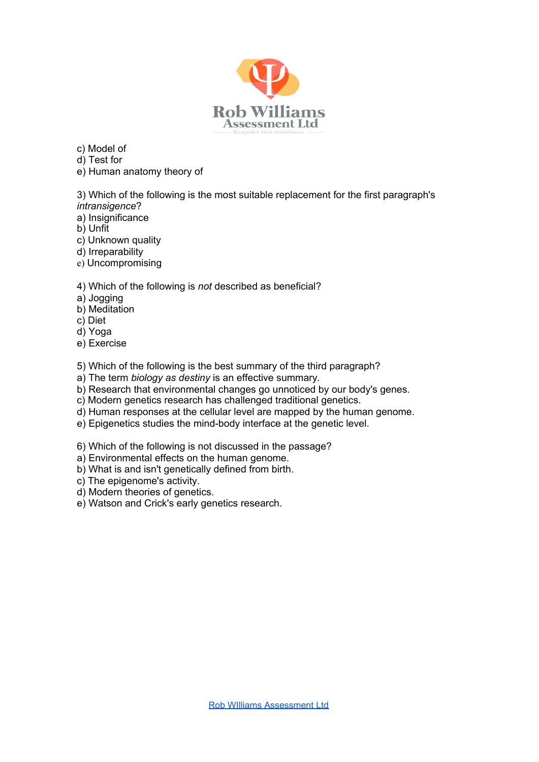

c) Model of

d) Test for

e) Human anatomy theory of

3) Which of the following is the most suitable replacement for the first paragraph's *intransigence*?

a) Insignificance

b) Unfit

c) Unknown quality

d) Irreparability

e) Uncompromising

4) Which of the following is *not* described as beneficial?

a) Jogging

b) Meditation

c) Diet

d) Yoga

e) Exercise

5) Which of the following is the best summary of the third paragraph?

a) The term *biology as destiny* is an effective summary*.*

b) Research that environmental changes go unnoticed by our body's genes.

c) Modern genetics research has challenged traditional genetics.

d) Human responses at the cellular level are mapped by the human genome.

e) Epigenetics studies the mind-body interface at the genetic level.

6) Which of the following is not discussed in the passage?

a) Environmental effects on the human genome.

b) What is and isn't genetically defined from birth.

c) The epigenome's activity.

d) Modern theories of genetics.

e) Watson and Crick's early genetics research.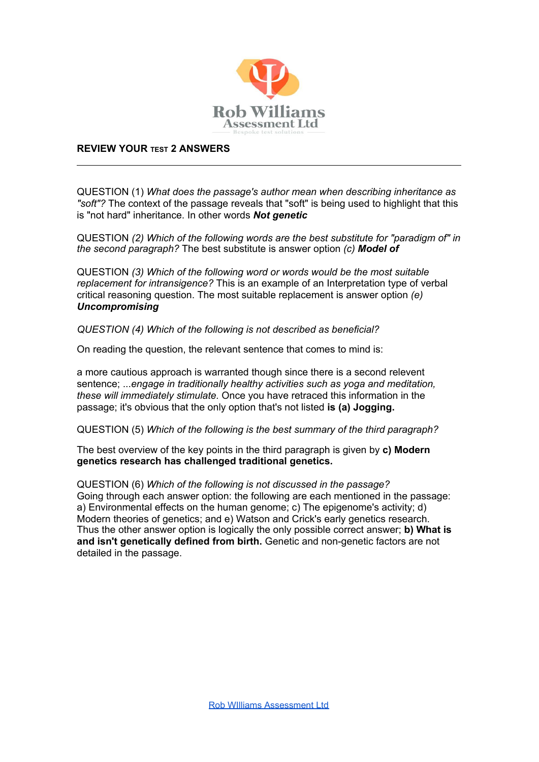

### **REVIEW YOUR TEST 2 ANSWERS**

QUESTION (1) *What does the passage's author mean when describing inheritance as "soft"?* The context of the passage reveals that "soft" is being used to highlight that this is "not hard" inheritance. In other words *Not genetic*

QUESTION *(2) Which of the following words are the best substitute for "paradigm of" in the second paragraph?* The best substitute is answer option *(c) Model of*

QUESTION *(3) Which of the following word or words would be the most suitable replacement for intransigence?* This is an example of an Interpretation type of verbal critical reasoning question. The most suitable replacement is answer option *(e) Uncompromising*

*QUESTION (4) Which of the following is not described as beneficial?*

On reading the question, the relevant sentence that comes to mind is:

a more cautious approach is warranted though since there is a second relevent sentence; ...*engage in traditionally healthy activities such as yoga and meditation, these will immediately stimulate.* Once you have retraced this information in the passage; it's obvious that the only option that's not listed **is (a) Jogging.**

QUESTION (5) *Which of the following is the best summary of the third paragraph?*

The best overview of the key points in the third paragraph is given by **c) Modern genetics research has challenged traditional genetics.**

QUESTION (6) *Which of the following is not discussed in the passage?* Going through each answer option: the following are each mentioned in the passage: a) Environmental effects on the human genome; c) The epigenome's activity; d) Modern theories of genetics; and e) Watson and Crick's early genetics research. Thus the other answer option is logically the only possible correct answer; **b) What is and isn't genetically defined from birth.** Genetic and non-genetic factors are not detailed in the passage.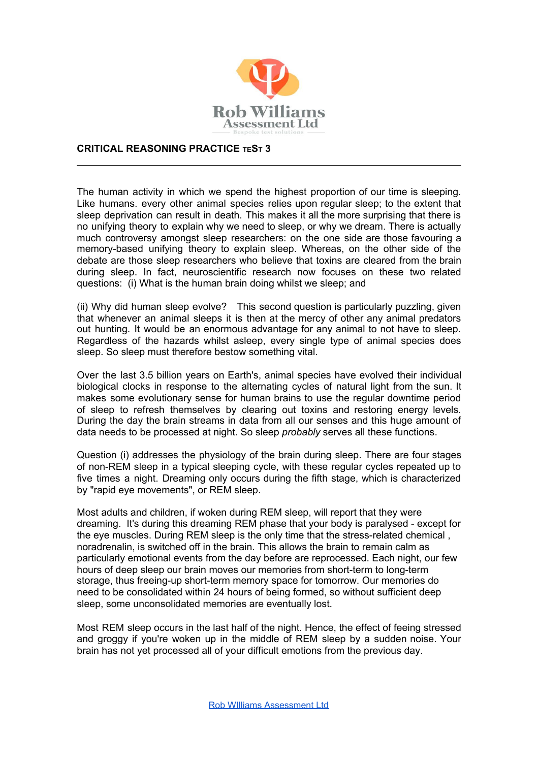

### **CRITICAL REASONING PRACTICE TES<sup>T</sup> 3**

The human activity in which we spend the highest proportion of our time is sleeping. Like humans. every other animal species relies upon regular sleep; to the extent that sleep deprivation can result in death. This makes it all the more surprising that there is no unifying theory to explain why we need to sleep, or why we dream. There is actually much controversy amongst sleep researchers: on the one side are those favouring a memory-based unifying theory to explain sleep. Whereas, on the other side of the debate are those sleep researchers who believe that toxins are cleared from the brain during sleep. In fact, neuroscientific research now focuses on these two related questions: (i) What is the human brain doing whilst we sleep; and

(ii) Why did human sleep evolve? This second question is particularly puzzling, given that whenever an animal sleeps it is then at the mercy of other any animal predators out hunting. It would be an enormous advantage for any animal to not have to sleep. Regardless of the hazards whilst asleep, every single type of animal species does sleep. So sleep must therefore bestow something vital.

Over the last 3.5 billion years on Earth's, animal species have evolved their individual biological clocks in response to the alternating cycles of natural light from the sun. It makes some evolutionary sense for human brains to use the regular downtime period of sleep to refresh themselves by clearing out toxins and restoring energy levels. During the day the brain streams in data from all our senses and this huge amount of data needs to be processed at night. So sleep *probably* serves all these functions.

Question (i) addresses the physiology of the brain during sleep. There are four stages of non-REM sleep in a typical sleeping cycle, with these regular cycles repeated up to five times a night. Dreaming only occurs during the fifth stage, which is characterized by "rapid eye movements", or REM sleep.

Most adults and children, if woken during REM sleep, will report that they were dreaming. It's during this dreaming REM phase that your body is paralysed - except for the eye muscles. During REM sleep is the only time that the stress-related chemical , noradrenalin, is switched off in the brain. This allows the brain to remain calm as particularly emotional events from the day before are reprocessed. Each night, our few hours of deep sleep our brain moves our memories from short-term to long-term storage, thus freeing-up short-term memory space for tomorrow. Our memories do need to be consolidated within 24 hours of being formed, so without sufficient deep sleep, some unconsolidated memories are eventually lost.

Most REM sleep occurs in the last half of the night. Hence, the effect of feeing stressed and groggy if you're woken up in the middle of REM sleep by a sudden noise. Your brain has not yet processed all of your difficult emotions from the previous day.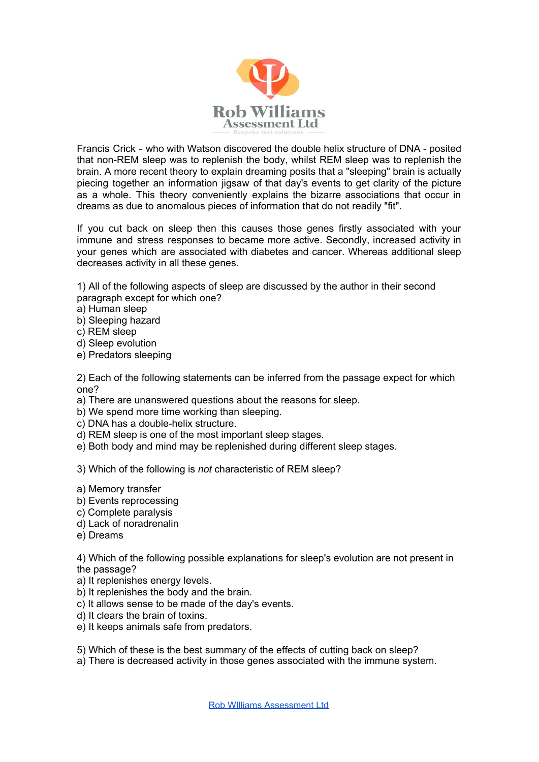

Francis Crick - who with Watson discovered the double helix structure of DNA - posited that non-REM sleep was to replenish the body, whilst REM sleep was to replenish the brain. A more recent theory to explain dreaming posits that a "sleeping" brain is actually piecing together an information jigsaw of that day's events to get clarity of the picture as a whole. This theory conveniently explains the bizarre associations that occur in dreams as due to anomalous pieces of information that do not readily "fit".

If you cut back on sleep then this causes those genes firstly associated with your immune and stress responses to became more active. Secondly, increased activity in your genes which are associated with diabetes and cancer. Whereas additional sleep decreases activity in all these genes.

1) All of the following aspects of sleep are discussed by the author in their second paragraph except for which one?

- a) Human sleep
- b) Sleeping hazard
- c) REM sleep
- d) Sleep evolution
- e) Predators sleeping

2) Each of the following statements can be inferred from the passage expect for which one?

- a) There are unanswered questions about the reasons for sleep.
- b) We spend more time working than sleeping.
- c) DNA has a double-helix structure.
- d) REM sleep is one of the most important sleep stages.
- e) Both body and mind may be replenished during different sleep stages.

3) Which of the following is *not* characteristic of REM sleep?

- a) Memory transfer
- b) Events reprocessing
- c) Complete paralysis
- d) Lack of noradrenalin
- e) Dreams

4) Which of the following possible explanations for sleep's evolution are not present in the passage?

- a) It replenishes energy levels.
- b) It replenishes the body and the brain.
- c) It allows sense to be made of the day's events.
- d) It clears the brain of toxins.
- e) It keeps animals safe from predators.

5) Which of these is the best summary of the effects of cutting back on sleep?

a) There is decreased activity in those genes associated with the immune system.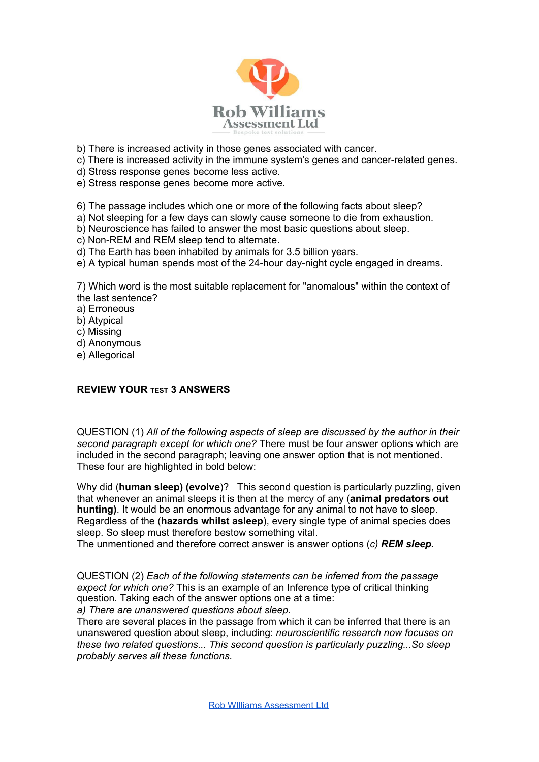

b) There is increased activity in those genes associated with cancer.

c) There is increased activity in the immune system's genes and cancer-related genes.

d) Stress response genes become less active.

e) Stress response genes become more active.

6) The passage includes which one or more of the following facts about sleep?

- a) Not sleeping for a few days can slowly cause someone to die from exhaustion.
- b) Neuroscience has failed to answer the most basic questions about sleep.
- c) Non-REM and REM sleep tend to alternate.
- d) The Earth has been inhabited by animals for 3.5 billion years.
- e) A typical human spends most of the 24-hour day-night cycle engaged in dreams.

7) Which word is the most suitable replacement for "anomalous" within the context of the last sentence?

- a) Erroneous
- b) Atypical
- c) Missing
- d) Anonymous
- e) Allegorical

### **REVIEW YOUR TEST 3 ANSWERS**

QUESTION (1) *All of the following aspects of sleep are discussed by the author in their second paragraph except for which one?* There must be four answer options which are included in the second paragraph; leaving one answer option that is not mentioned. These four are highlighted in bold below:

Why did (**human sleep) (evolve**)? This second question is particularly puzzling, given that whenever an animal sleeps it is then at the mercy of any (**animal predators out hunting)**. It would be an enormous advantage for any animal to not have to sleep. Regardless of the (**hazards whilst asleep**), every single type of animal species does sleep. So sleep must therefore bestow something vital.

The unmentioned and therefore correct answer is answer options (*c) REM sleep.*

QUESTION (2) *Each of the following statements can be inferred from the passage expect for which one?* This is an example of an Inference type of critical thinking question. Taking each of the answer options one at a time:

*a) There are unanswered questions about sleep.*

There are several places in the passage from which it can be inferred that there is an unanswered question about sleep, including: *neuroscientific research now focuses on these two related questions... This second question is particularly puzzling...So sleep probably serves all these functions.*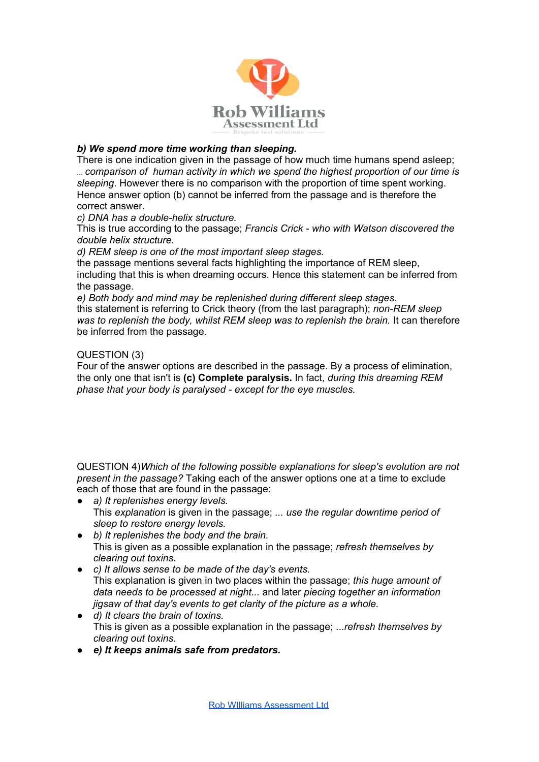

## *b) We spend more time working than sleeping.*

There is one indication given in the passage of how much time humans spend asleep; ... *comparison of human activity in which we spend the highest proportion of our time is sleeping*. However there is no comparison with the proportion of time spent working. Hence answer option (b) cannot be inferred from the passage and is therefore the correct answer.

*c) DNA has a double-helix structure.*

This is true according to the passage; *Francis Crick - who with Watson discovered the double helix structure.*

*d) REM sleep is one of the most important sleep stages.*

the passage mentions several facts highlighting the importance of REM sleep, including that this is when dreaming occurs. Hence this statement can be inferred from the passage.

*e) Both body and mind may be replenished during different sleep stages.* this statement is referring to Crick theory (from the last paragraph); *non-REM sleep was to replenish the body, whilst REM sleep was to replenish the brain.* It can therefore be inferred from the passage.

## QUESTION (3)

Four of the answer options are described in the passage. By a process of elimination, the only one that isn't is **(c) Complete paralysis.** In fact, *during this dreaming REM phase that your body is paralysed - except for the eye muscles.*

QUESTION 4)*Which of the following possible explanations for sleep's evolution are not present in the passage?* Taking each of the answer options one at a time to exclude each of those that are found in the passage:

- *● a) It replenishes energy levels.* This *explanation* is given in the passage; *... use the regular downtime period of sleep to restore energy levels.*
- *● b) It replenishes the body and the brain.* This is given as a possible explanation in the passage; *refresh themselves by clearing out toxins.*
- *● c) It allows sense to be made of the day's events.* This explanation is given in two places within the passage; *this huge amount of data needs to be processed at night...* and later *piecing together an information jigsaw of that day's events to get clarity of the picture as a whole.*
- *● d) It clears the brain of toxins.* This is given as a possible explanation in the passage; ...*refresh themselves by clearing out toxins.*
- *● e) It keeps animals safe from predators.*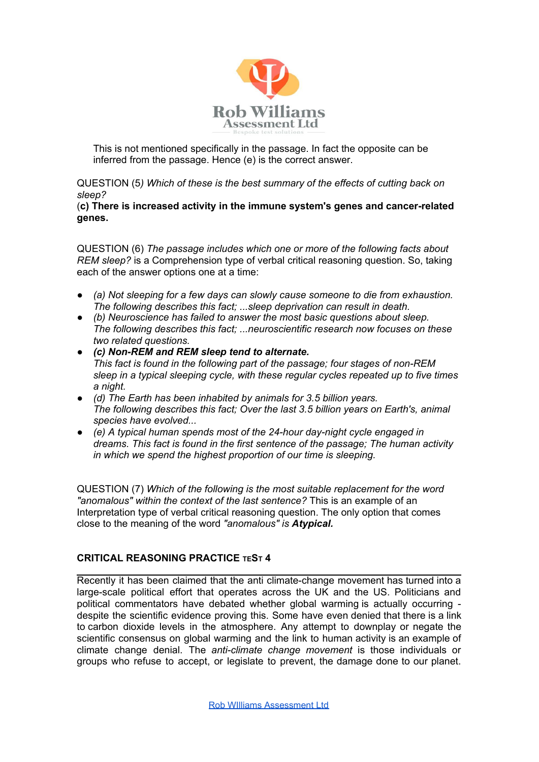

This is not mentioned specifically in the passage. In fact the opposite can be inferred from the passage. Hence (e) is the correct answer.

QUESTION (5*) Which of these is the best summary of the effects of cutting back on sleep?*

(**c) There is increased activity in the immune system's genes and cancer-related genes.**

QUESTION (6) *The passage includes which one or more of the following facts about REM sleep?* is a Comprehension type of verbal critical reasoning question. So, taking each of the answer options one at a time:

- *● (a) Not sleeping for a few days can slowly cause someone to die from exhaustion. The following describes this fact; ...sleep deprivation can result in death.*
- *● (b) Neuroscience has failed to answer the most basic questions about sleep. The following describes this fact; ...neuroscientific research now focuses on these two related questions.*
- *● (c) Non-REM and REM sleep tend to alternate. This fact is found in the following part of the passage; four stages of non-REM sleep in a typical sleeping cycle, with these regular cycles repeated up to five times a night.*
- *● (d) The Earth has been inhabited by animals for 3.5 billion years. The following describes this fact; Over the last 3.5 billion years on Earth's, animal species have evolved...*
- *● (e) A typical human spends most of the 24-hour day-night cycle engaged in dreams. This fact is found in the first sentence of the passage; The human activity in which we spend the highest proportion of our time is sleeping.*

QUESTION (7) *Which of the following is the most suitable replacement for the word "anomalous" within the context of the last sentence?* This is an example of an Interpretation type of verbal critical reasoning question. The only option that comes close to the meaning of the word *"anomalous" is Atypical.*

# **CRITICAL REASONING PRACTICE TES<sup>T</sup> 4**

Recently it has been claimed that the anti climate-change movement has turned into a large-scale political effort that operates across the UK and the US. Politicians and political commentators have debated whether global [warming](http://en.wikipedia.org/wiki/Global_warming) is actually occurring despite the scientific evidence proving this. Some have even denied that there is a link to carbon [dioxide](http://en.wikipedia.org/wiki/Carbon_dioxide) levels in the atmosphere. Any attempt to downplay or negate the scientific consensus on global warming and the link to human activity is an example of climate change denial. The *anti-climate change movement* is those individuals or groups who refuse to accept, or legislate to prevent, the damage done to our planet.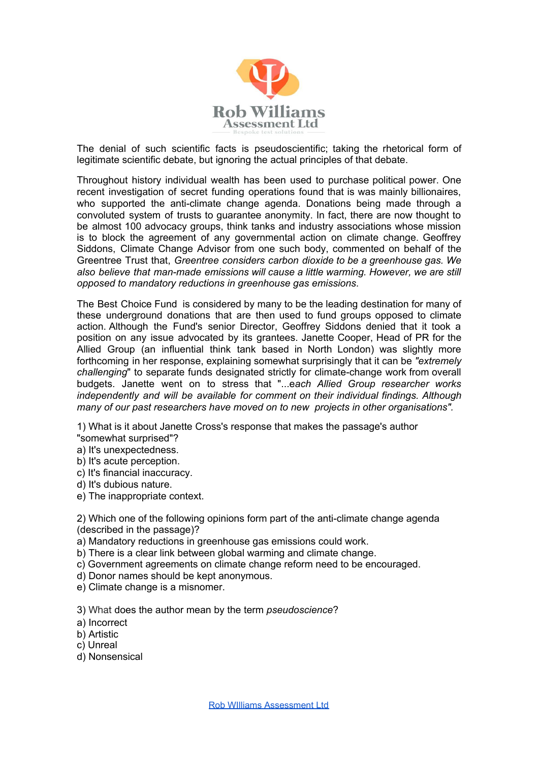

The denial of such scientific facts is [pseudoscientific;](http://en.wikipedia.org/wiki/Pseudoscience) taking the rhetorical form of legitimate scientific debate, but ignoring the actual principles of that debate.

Throughout history individual wealth has been used to purchase political power. One recent investigation of secret funding operations found that is was mainly billionaires, who supported the anti-climate change agenda. Donations being made through a convoluted system of trusts to guarantee anonymity. In fact, there are now thought to be almost 100 advocacy groups, think tanks and industry associations whose mission is to block the agreement of any governmental action on climate change. Geoffrey Siddons, Climate Change Advisor from one such body, commented on behalf of the Greentree Trust that, *Greentree considers carbon dioxide to be a greenhouse gas. We also believe that man-made emissions will cause a little warming. However, we are still opposed to mandatory reductions in greenhouse gas emissions*.

The Best Choice Fund is considered by many to be the leading destination for many of these underground donations that are then used to fund groups opposed to climate action. Although the Fund's senior Director, Geoffrey Siddons denied that it took a position on any issue advocated by its grantees. Janette Cooper, Head of PR for the Allied Group (an influential think tank based in North London) was slightly more forthcoming in her response, explaining somewhat surprisingly that it can be *"extremely challenging*" to separate funds designated strictly for climate-change work from overall budgets. Janette went on to stress that "...e*ach Allied Group researcher works independently and will be available for comment on their individual findings. Although many of our past researchers have moved on to new projects in other organisations".*

1) What is it about Janette Cross's response that makes the passage's author

"somewhat surprised"?

a) It's unexpectedness.

- b) It's acute perception.
- c) It's financial inaccuracy.
- d) It's dubious nature.
- e) The inappropriate context.

2) Which one of the following opinions form part of the anti-climate change agenda (described in the passage)?

a) Mandatory reductions in greenhouse gas emissions could work.

- b) There is a clear link between global warming and climate change.
- c) Government agreements on climate change reform need to be encouraged.
- d) Donor names should be kept anonymous.

e) Climate change is a misnomer.

3) What does the author mean by the term *pseudoscience*?

a) Incorrect

b) Artistic

c) Unreal

d) Nonsensical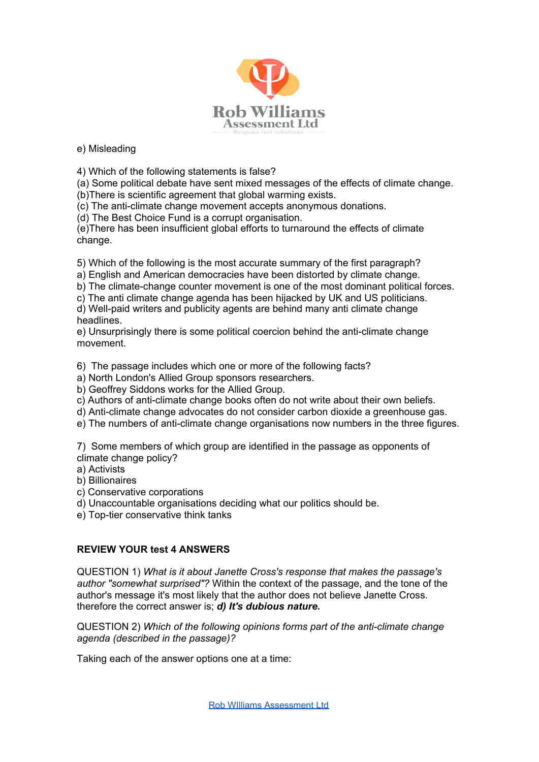

## e) Misleading

4) Which of the following statements is false?

(a) Some political debate have sent mixed messages of the effects of climate change.

(b)There is scientific agreement that global warming exists.

(c) The anti-climate change movement accepts anonymous donations.

(d) The Best Choice Fund is a corrupt organisation.

(e)There has been insufficient global efforts to turnaround the effects of climate change.

5) Which of the following is the most accurate summary of the first paragraph?

a) English and American democracies have been distorted by climate change.

b) The climate-change counter movement is one of the most dominant political forces.

c) The anti climate change agenda has been hijacked by UK and US politicians.

d) Well-paid writers and publicity agents are behind many anti climate change headlines.

e) Unsurprisingly there is some political coercion behind the anti-climate change movement.

6) The passage includes which one or more of the following facts?

a) North London's Allied Group sponsors researchers.

b) Geoffrey Siddons works for the Allied Group.

c) Authors of anti-climate change books often do not write about their own beliefs.

d) Anti-climate change advocates do not consider carbon dioxide a greenhouse gas.

e) The numbers of anti-climate change organisations now numbers in the three figures.

7) Some members of which group are identified in the passage as opponents of climate change policy?

a) Activists

- b) Billionaires
- c) Conservative corporations

d) Unaccountable organisations deciding what our politics should be.

e) Top-tier conservative think tanks

# **REVIEW YOUR test 4 ANSWERS**

QUESTION 1) *What is it about Janette Cross's response that makes the passage's author "somewhat surprised"?* Within the context of the passage, and the tone of the author's message it's most likely that the author does not believe Janette Cross. therefore the correct answer is; *d) It's dubious nature.*

QUESTION 2) *Which of the following opinions forms part of the anti-climate change agenda (described in the passage)?*

Taking each of the answer options one at a time: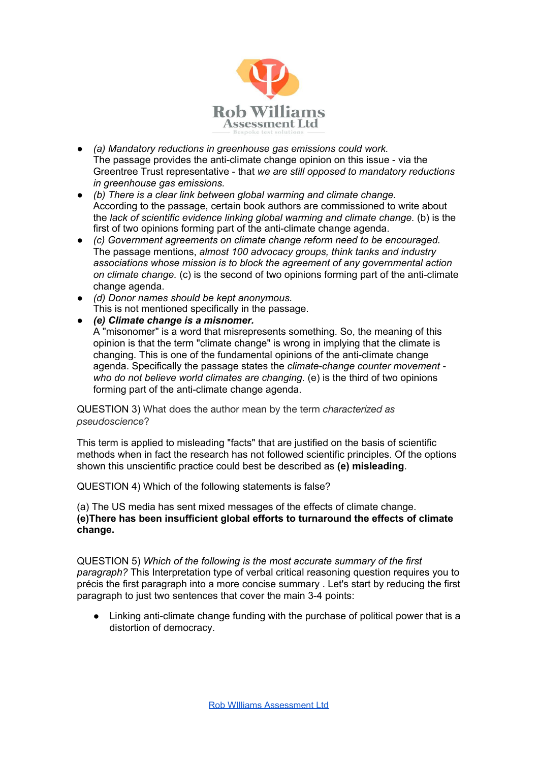

- *● (a) Mandatory reductions in greenhouse gas emissions could work.* The passage provides the anti-climate change opinion on this issue - via the Greentree Trust representative - that *we are still opposed to mandatory reductions in greenhouse gas emissions.*
- *● (b) There is a clear link between global warming and climate change.* According to the passage, certain book authors are commissioned to write about the *lack of scientific evidence linking global warming and climate change.* (b) is the first of two opinions forming part of the anti-climate change agenda.
- *● (c) Government agreements on climate change reform need to be encouraged.* The passage mentions, *almost 100 advocacy groups, think tanks and industry associations whose mission is to block the agreement of any governmental action on climate change.* (c) is the second of two opinions forming part of the anti-climate change agenda.
- *● (d) Donor names should be kept anonymous.* This is not mentioned specifically in the passage.

### *● (e) Climate change is a misnomer.* A "misonomer" is a word that misrepresents something. So, the meaning of this opinion is that the term "climate change" is wrong in implying that the climate is changing. This is one of the fundamental opinions of the anti-climate change agenda. Specifically the passage states the *climate-change counter movement who do not believe world climates are changing.* (e) is the third of two opinions forming part of the anti-climate change agenda.

QUESTION 3) What does the author mean by the term *characterized as pseudoscience*?

This term is applied to misleading "facts" that are justified on the basis of scientific methods when in fact the research has not followed scientific principles. Of the options shown this unscientific practice could best be described as **(e) misleading**.

QUESTION 4) Which of the following statements is false?

(a) The US media has sent mixed messages of the effects of climate change. **(e)There has been insufficient global efforts to turnaround the effects of climate change.**

QUESTION 5) *Which of the following is the most accurate summary of the first paragraph?* This Interpretation type of verbal critical reasoning question requires you to précis the first paragraph into a more concise summary . Let's start by reducing the first paragraph to just two sentences that cover the main 3-4 points:

● Linking anti-climate change funding with the purchase of political power that is a distortion of democracy.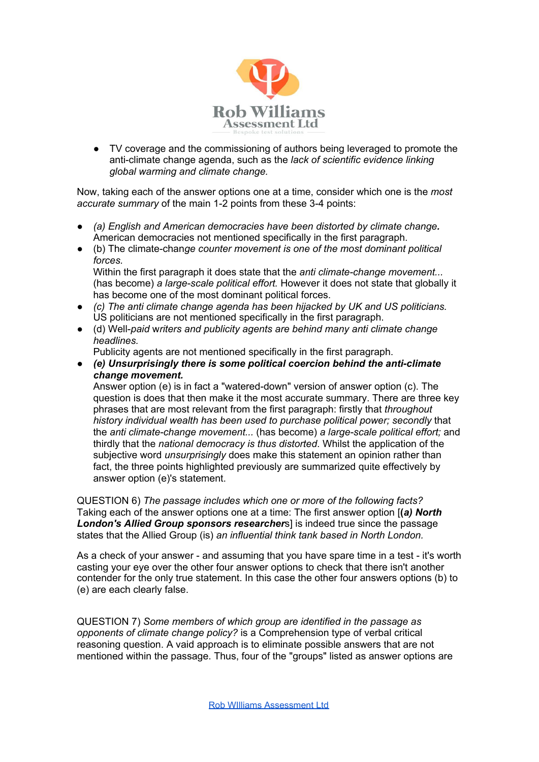

● TV coverage and the commissioning of authors being leveraged to promote the anti-climate change agenda, such as the *lack of scientific evidence linking global warming and climate change.*

Now, taking each of the answer options one at a time, consider which one is the *most accurate summary* of the main 1-2 points from these 3-4 points:

- *● (a) English and American democracies have been distorted by climate change.* American democracies not mentioned specifically in the first paragraph.
- (b) The climate-chan*ge counter movement is one of the most dominant political forces.*

Within the first paragraph it does state that the *anti climate-change movement...* (has become) *a large-scale political effort.* However it does not state that globally it has become one of the most dominant political forces.

- *● (c) The anti climate change agenda has been hijacked by UK and US politicians.* US politicians are not mentioned specifically in the first paragraph.
- *●* (d) Well-*paid* w*riters and publicity agents are behind many anti climate change headlines.*

Publicity agents are not mentioned specifically in the first paragraph.

*● (e) Unsurprisingly there is some political coercion behind the anti-climate change movement.*

Answer option (e) is in fact a "watered-down" version of answer option (c). The question is does that then make it the most accurate summary. There are three key phrases that are most relevant from the first paragraph: firstly that *throughout history individual wealth has been used to purchase political power; secondly* that the *anti climate-change movement...* (has become) *a large-scale political effort;* and thirdly that the *national democracy is thus distorted*. Whilst the application of the subjective word *unsurprisingly* does make this statement an opinion rather than fact, the three points highlighted previously are summarized quite effectively by answer option (e)'s statement.

QUESTION 6) *The passage includes which one or more of the following facts?* Taking each of the answer options one at a time: The first answer option [**(***a) North London's Allied Group sponsors researcher*s] is indeed true since the passage states that the Allied Group (is) *an influential think tank based in North London.*

As a check of your answer - and assuming that you have spare time in a test - it's worth casting your eye over the other four answer options to check that there isn't another contender for the only true statement. In this case the other four answers options (b) to (e) are each clearly false.

QUESTION 7) *Some members of which group are identified in the passage as opponents of climate change policy?* is a Comprehension type of verbal critical reasoning question. A vaid approach is to eliminate possible answers that are not mentioned within the passage. Thus, four of the "groups" listed as answer options are